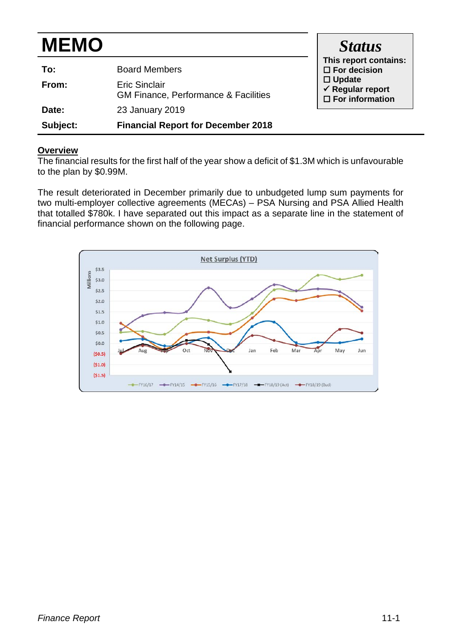| <b>MEMO</b> | <b>Status</b>                                                |                                                                        |
|-------------|--------------------------------------------------------------|------------------------------------------------------------------------|
| To:         | This report contains:<br>$\Box$ For decision                 |                                                                        |
| From:       | <b>Eric Sinclair</b><br>GM Finance, Performance & Facilities | $\Box$ Update<br>$\checkmark$ Regular report<br>$\Box$ For information |
| Date:       | 23 January 2019                                              |                                                                        |
| Subject:    | <b>Financial Report for December 2018</b>                    |                                                                        |

#### **Overview**

The financial results for the first half of the year show a deficit of \$1.3M which is unfavourable to the plan by \$0.99M.

The result deteriorated in December primarily due to unbudgeted lump sum payments for two multi-employer collective agreements (MECAs) – PSA Nursing and PSA Allied Health that totalled \$780k. I have separated out this impact as a separate line in the statement of financial performance shown on the following page.

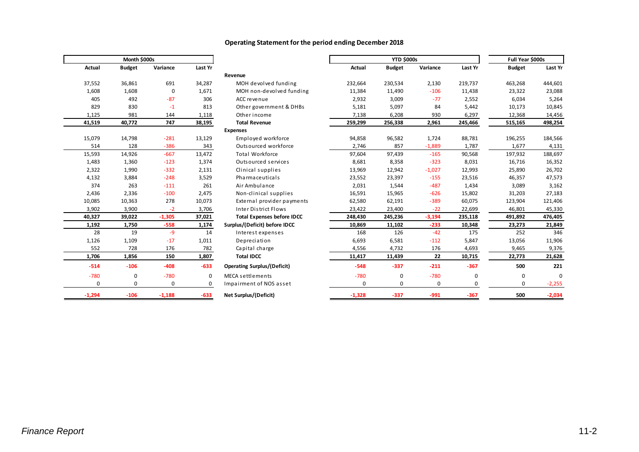| Month \$000s  |               |          |         |  |  |
|---------------|---------------|----------|---------|--|--|
| <b>Actual</b> | <b>Budget</b> | Variance | Last Yr |  |  |
| 37,552        | 36,861        | 691      | 34,287  |  |  |
| 1,608         | 1,608         | 0        | 1,671   |  |  |
| 405           | 492           | $-87$    | 306     |  |  |
| 829           | 830           | $-1$     | 813     |  |  |
| 1,125         | 981           | 144      | 1,118   |  |  |
| 41,519        | 40,772        | 747      | 38,195  |  |  |
|               |               |          |         |  |  |
| 15,079        | 14,798        | $-281$   | 13,129  |  |  |
| 514           | 128           | $-386$   | 343     |  |  |
| 15,593        | 14,926        | $-667$   | 13,472  |  |  |
| 1,483         | 1,360         | $-123$   | 1,374   |  |  |
| 2,322         | 1,990         | $-332$   | 2,131   |  |  |
| 4,132         | 3,884         | $-248$   | 3,529   |  |  |
| 374           | 263           | $-111$   | 261     |  |  |
| 2,436         | 2,336         | $-100$   | 2,475   |  |  |
| 10,085        | 10,363        | 278      | 10,073  |  |  |
| 3,902         | 3,900         | $-2$     | 3,706   |  |  |
| 40,327        | 39,022        | $-1,305$ | 37,021  |  |  |
| 1,192         | 1,750         | $-558$   | 1,174   |  |  |
| 28            | 19            | -9       | 14      |  |  |
| 1,126         | 1,109         | $-17$    | 1,011   |  |  |
| 552           | 728           | 176      | 782     |  |  |
| 1,706         | 1,856         | 150      | 1,807   |  |  |
| $-514$        | $-106$        | $-408$   | $-633$  |  |  |
| $-780$        | 0             | $-780$   | 0       |  |  |
| 0             | 0             | 0        | 0       |  |  |
| $-1.294$      | $-106$        | $-1.188$ | $-633$  |  |  |

#### **Operating Statement for the period ending December 2018**

|               | Month \$000s  |             |         |                                    | <b>YTD \$000s</b> |               |          |         | Full Year \$000s |          |
|---------------|---------------|-------------|---------|------------------------------------|-------------------|---------------|----------|---------|------------------|----------|
| <b>Actual</b> | <b>Budget</b> | Variance    | Last Yr |                                    | Actual            | <b>Budget</b> | Variance | Last Yr | <b>Budget</b>    | Last Yr  |
|               |               |             |         | Revenue                            |                   |               |          |         |                  |          |
| 37,552        | 36,861        | 691         | 34,287  | MOH devolved funding               | 232,664           | 230,534       | 2,130    | 219,737 | 463,268          | 444,601  |
| 1,608         | 1,608         | $\mathbf 0$ | 1,671   | MOH non-devolved funding           | 11,384            | 11,490        | $-106$   | 11,438  | 23,322           | 23,088   |
| 405           | 492           | $-87$       | 306     | ACC revenue                        | 2,932             | 3,009         | $-77$    | 2,552   | 6,034            | 5,264    |
| 829           | 830           | $-1$        | 813     | Other government & DHBs            | 5,181             | 5,097         | 84       | 5,442   | 10,173           | 10,845   |
| 1,125         | 981           | 144         | 1,118   | Other income                       | 7,138             | 6,208         | 930      | 6,297   | 12,368           | 14,456   |
| 41,519        | 40,772        | 747         | 38,195  | <b>Total Revenue</b>               | 259,299           | 256,338       | 2,961    | 245,466 | 515,165          | 498,254  |
|               |               |             |         | <b>Expenses</b>                    |                   |               |          |         |                  |          |
| 15,079        | 14,798        | $-281$      | 13,129  | Employed workforce                 | 94,858            | 96,582        | 1,724    | 88,781  | 196,255          | 184,566  |
| 514           | 128           | $-386$      | 343     | Outsourced workforce               | 2,746             | 857           | $-1,889$ | 1,787   | 1,677            | 4,131    |
| 15,593        | 14,926        | $-667$      | 13,472  | <b>Total Workforce</b>             | 97,604            | 97,439        | $-165$   | 90,568  | 197,932          | 188,697  |
| 1,483         | 1,360         | $-123$      | 1,374   | Outsourced services                | 8,681             | 8,358         | $-323$   | 8,031   | 16,716           | 16,352   |
| 2,322         | 1,990         | $-332$      | 2,131   | Clinical supplies                  | 13,969            | 12,942        | $-1,027$ | 12,993  | 25,890           | 26,702   |
| 4,132         | 3,884         | $-248$      | 3,529   | Pharmaceuticals                    | 23,552            | 23,397        | $-155$   | 23,516  | 46,357           | 47,573   |
| 374           | 263           | $-111$      | 261     | Air Ambulance                      | 2,031             | 1,544         | $-487$   | 1,434   | 3,089            | 3,162    |
| 2,436         | 2,336         | $-100$      | 2,475   | Non-clinical supplies              | 16,591            | 15,965        | $-626$   | 15,802  | 31,203           | 27,183   |
| 10,085        | 10,363        | 278         | 10,073  | External provider payments         | 62,580            | 62,191        | $-389$   | 60,075  | 123,904          | 121,406  |
| 3,902         | 3,900         | $-2$        | 3,706   | <b>Inter District Flows</b>        | 23,422            | 23,400        | $-22$    | 22,699  | 46,801           | 45,330   |
| 40,327        | 39,022        | $-1,305$    | 37,021  | <b>Total Expenses before IDCC</b>  | 248,430           | 245,236       | $-3,194$ | 235,118 | 491,892          | 476,405  |
| 1,192         | 1,750         | $-558$      | 1,174   | Surplus/(Deficit) before IDCC      | 10,869            | 11,102        | $-233$   | 10,348  | 23,273           | 21,849   |
| 28            | 19            | $-9$        | 14      | Interest expenses                  | 168               | 126           | $-42$    | 175     | 252              | 346      |
| 1,126         | 1,109         | $-17$       | 1,011   | Depreciation                       | 6,693             | 6,581         | $-112$   | 5,847   | 13,056           | 11,906   |
| 552           | 728           | 176         | 782     | Capital charge                     | 4,556             | 4,732         | 176      | 4,693   | 9,465            | 9,376    |
| 1,706         | 1,856         | 150         | 1,807   | <b>Total IDCC</b>                  | 11,417            | 11,439        | 22       | 10,715  | 22,773           | 21,628   |
| $-514$        | $-106$        | $-408$      | $-633$  | <b>Operating Surplus/(Deficit)</b> | $-548$            | $-337$        | $-211$   | $-367$  | 500              | 221      |
| $-780$        | 0             | $-780$      | 0       | MECA settlements                   | $-780$            | $\mathbf 0$   | $-780$   | 0       | 0                | $\Omega$ |
| $\mathbf 0$   | $\mathbf 0$   | $\mathbf 0$ | 0       | Impairment of NOS asset            | 0                 | 0             | 0        | 0       | 0                | $-2,255$ |
| $-1,294$      | $-106$        | $-1,188$    | $-633$  | Net Surplus/(Deficit)              | $-1,328$          | $-337$        | $-991$   | $-367$  | 500              | $-2,034$ |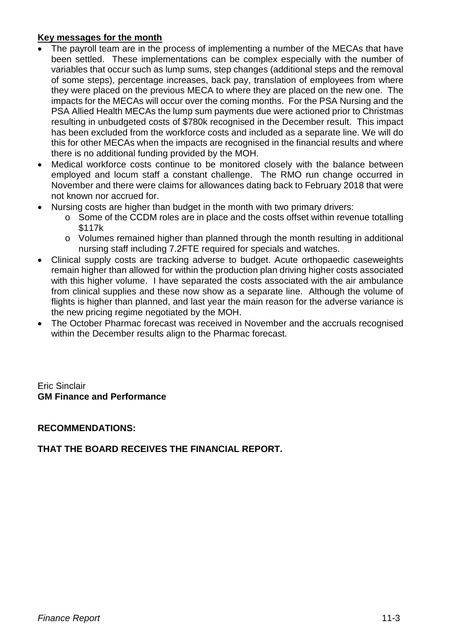## **Key messages for the month**

- The payroll team are in the process of implementing a number of the MECAs that have been settled. These implementations can be complex especially with the number of variables that occur such as lump sums, step changes (additional steps and the removal of some steps), percentage increases, back pay, translation of employees from where they were placed on the previous MECA to where they are placed on the new one. The impacts for the MECAs will occur over the coming months. For the PSA Nursing and the PSA Allied Health MECAs the lump sum payments due were actioned prior to Christmas resulting in unbudgeted costs of \$780k recognised in the December result. This impact has been excluded from the workforce costs and included as a separate line. We will do this for other MECAs when the impacts are recognised in the financial results and where there is no additional funding provided by the MOH.
- Medical workforce costs continue to be monitored closely with the balance between employed and locum staff a constant challenge. The RMO run change occurred in November and there were claims for allowances dating back to February 2018 that were not known nor accrued for.
- Nursing costs are higher than budget in the month with two primary drivers:
	- o Some of the CCDM roles are in place and the costs offset within revenue totalling \$117k
	- $\circ$  Volumes remained higher than planned through the month resulting in additional nursing staff including 7.2FTE required for specials and watches.
- Clinical supply costs are tracking adverse to budget. Acute orthopaedic caseweights remain higher than allowed for within the production plan driving higher costs associated with this higher volume. I have separated the costs associated with the air ambulance from clinical supplies and these now show as a separate line. Although the volume of flights is higher than planned, and last year the main reason for the adverse variance is the new pricing regime negotiated by the MOH.
- The October Pharmac forecast was received in November and the accruals recognised within the December results align to the Pharmac forecast.

Eric Sinclair **GM Finance and Performance**

## **RECOMMENDATIONS:**

# **THAT THE BOARD RECEIVES THE FINANCIAL REPORT.**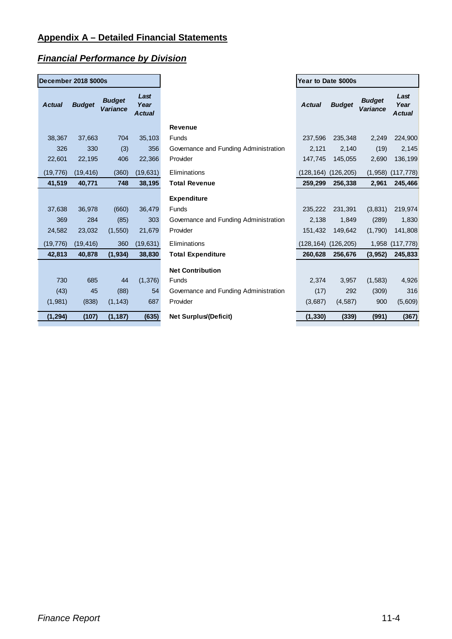## **Appendix A – Detailed Financial Statements**

### *Financial Performance by Division*

| December 2018 \$000s |               |                           |                               |  |  |  |
|----------------------|---------------|---------------------------|-------------------------------|--|--|--|
| <b>Actual</b>        | <b>Budget</b> | <b>Budget</b><br>Variance | Last<br>Year<br><b>Actual</b> |  |  |  |
| 38,367               | 37,663        | 704                       | 35,103                        |  |  |  |
| 326                  | 330           | (3)                       | 356                           |  |  |  |
| 22,601               | 22,195        | 406                       | 22,366                        |  |  |  |
| (19, 776)            | (19, 416)     | (360)                     | (19, 631)                     |  |  |  |
| 41,519               | 40,771        | 748                       | 38,195                        |  |  |  |
|                      |               |                           |                               |  |  |  |
| 37,638               | 36,978        | (660)                     | 36,479                        |  |  |  |
| 369                  | 284           | (85)                      | 303                           |  |  |  |
| 24,582               | 23,032        | (1, 550)                  | 21,679                        |  |  |  |
| (19, 776)            | (19, 416)     | 360                       | (19, 631)                     |  |  |  |
| 42,813               | 40,878        | (1, 934)                  | 38,830                        |  |  |  |
|                      |               |                           |                               |  |  |  |
| 730                  | 685           | 44                        | (1, 376)                      |  |  |  |
| (43)                 | 45            | (88)                      | 54                            |  |  |  |
| (1,981)              | (838)         | (1, 143)                  | 687                           |  |  |  |
| (1, 294)             | (107)         | (1, 187)                  | (635)                         |  |  |  |

| ctual    | <b>Budget</b> | <b>Budget</b><br>Variance | Last<br>Year<br><b>Actual</b> |                                       | <b>Actual</b> | <b>Budget</b> | <b>Budget</b><br><b>Variance</b> | Last<br>Year<br><b>Actual</b> |
|----------|---------------|---------------------------|-------------------------------|---------------------------------------|---------------|---------------|----------------------------------|-------------------------------|
|          |               |                           |                               | <b>Revenue</b>                        |               |               |                                  |                               |
| 38,367   | 37,663        | 704                       | 35,103                        | Funds                                 | 237,596       | 235,348       | 2,249                            | 224,900                       |
| 326      | 330           | (3)                       | 356                           | Governance and Funding Administration | 2,121         | 2,140         | (19)                             | 2,145                         |
| 22,601   | 22,195        | 406                       | 22,366                        | Provider                              | 147,745       | 145,055       | 2,690                            | 136,199                       |
| 19,776)  | (19, 416)     | (360)                     | (19, 631)                     | Eliminations                          | (128,164)     | (126, 205)    | (1,958)                          | (117, 778)                    |
| 41,519   | 40,771        | 748                       | 38,195                        | <b>Total Revenue</b>                  | 259,299       | 256,338       | 2,961                            | 245,466                       |
|          |               |                           |                               | <b>Expenditure</b>                    |               |               |                                  |                               |
| 37,638   | 36,978        | (660)                     | 36,479                        | Funds                                 | 235,222       | 231,391       | (3,831)                          | 219,974                       |
| 369      | 284           | (85)                      | 303                           | Governance and Funding Administration | 2,138         | 1,849         | (289)                            | 1,830                         |
| 24,582   | 23,032        | (1, 550)                  | 21,679                        | Provider                              | 151,432       | 149,642       | (1,790)                          | 141,808                       |
| 19,776)  | (19, 416)     | 360                       | (19, 631)                     | Eliminations                          | (128,164)     | (126, 205)    | 1,958                            | (117, 778)                    |
| 42,813   | 40,878        | (1, 934)                  | 38,830                        | <b>Total Expenditure</b>              | 260,628       | 256,676       | (3, 952)                         | 245,833                       |
|          |               |                           |                               | <b>Net Contribution</b>               |               |               |                                  |                               |
| 730      | 685           | 44                        | (1, 376)                      | Funds                                 | 2,374         | 3,957         | (1,583)                          | 4,926                         |
| (43)     | 45            | (88)                      | 54                            | Governance and Funding Administration | (17)          | 292           | (309)                            | 316                           |
| (1,981)  | (838)         | (1, 143)                  | 687                           | Provider                              | (3,687)       | (4,587)       | 900                              | (5,609)                       |
| (1, 294) | (107)         | (1, 187)                  | (635)                         | Net Surplus/(Deficit)                 | (1, 330)      | (339)         | (991)                            | (367)                         |

**Year to Date \$000s**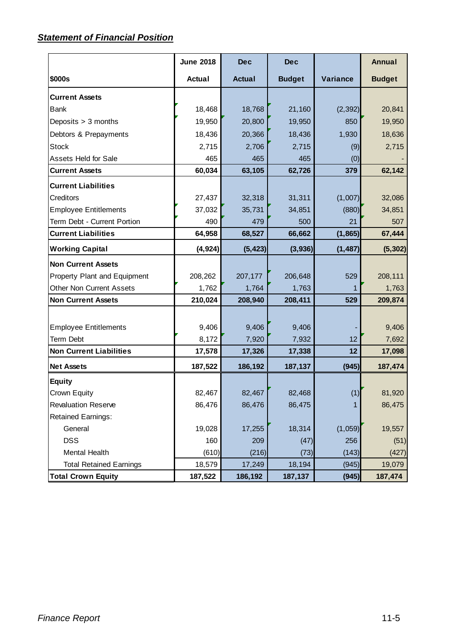## *Statement of Financial Position*

|                                 | <b>June 2018</b> | <b>Dec</b>    | <b>Dec</b>    |          | <b>Annual</b> |
|---------------------------------|------------------|---------------|---------------|----------|---------------|
| \$000s                          | <b>Actual</b>    | <b>Actual</b> | <b>Budget</b> | Variance | <b>Budget</b> |
| <b>Current Assets</b>           |                  |               |               |          |               |
| <b>Bank</b>                     | 18,468           | 18,768        | 21,160        | (2, 392) | 20,841        |
| Deposits > 3 months             | 19,950           | 20,800        | 19,950        | 850      | 19,950        |
| Debtors & Prepayments           | 18,436           | 20,366        | 18,436        | 1,930    | 18,636        |
| <b>Stock</b>                    | 2,715            | 2,706         | 2,715         | (9)      | 2,715         |
| <b>Assets Held for Sale</b>     | 465              | 465           | 465           | (0)      |               |
| <b>Current Assets</b>           | 60,034           | 63,105        | 62,726        | 379      | 62,142        |
| <b>Current Liabilities</b>      |                  |               |               |          |               |
| Creditors                       | 27,437           | 32,318        | 31,311        | (1,007)  | 32,086        |
| <b>Employee Entitlements</b>    | 37,032           | 35,731        | 34,851        | (880)    | 34,851        |
| Term Debt - Current Portion     | 490              | 479           | 500           | 21       | 507           |
| <b>Current Liabilities</b>      | 64,958           | 68,527        | 66,662        | (1, 865) | 67,444        |
| <b>Working Capital</b>          | (4, 924)         | (5, 423)      | (3,936)       | (1, 487) | (5, 302)      |
| <b>Non Current Assets</b>       |                  |               |               |          |               |
| Property Plant and Equipment    | 208,262          | 207,177       | 206,648       | 529      | 208,111       |
| <b>Other Non Current Assets</b> | 1,762            | 1,764         | 1,763         |          | 1,763         |
| <b>Non Current Assets</b>       | 210,024          | 208,940       | 208,411       | 529      | 209,874       |
|                                 |                  |               |               |          |               |
| <b>Employee Entitlements</b>    | 9,406            | 9,406         | 9,406         |          | 9,406         |
| <b>Term Debt</b>                | 8,172            | 7,920         | 7,932         | 12       | 7,692         |
| <b>Non Current Liabilities</b>  | 17,578           | 17,326        | 17,338        | 12       | 17,098        |
| <b>Net Assets</b>               | 187,522          | 186,192       | 187,137       | (945)    | 187,474       |
| <b>Equity</b>                   |                  |               |               |          |               |
| Crown Equity                    | 82,467           | 82,467        | 82,468        | (1)      | 81,920        |
| <b>Revaluation Reserve</b>      | 86,476           | 86,476        | 86,475        |          | 86,475        |
| <b>Retained Earnings:</b>       |                  |               |               |          |               |
| General                         | 19,028           | 17,255        | 18,314        | (1,059)  | 19,557        |
| <b>DSS</b>                      | 160              | 209           | (47)          | 256      | (51)          |
| Mental Health                   | (610)            | (216)         | (73)          | (143)    | (427)         |
| <b>Total Retained Earnings</b>  | 18,579           | 17,249        | 18,194        | (945)    | 19,079        |
| <b>Total Crown Equity</b>       | 187,522          | 186,192       | 187,137       | (945)    | 187,474       |